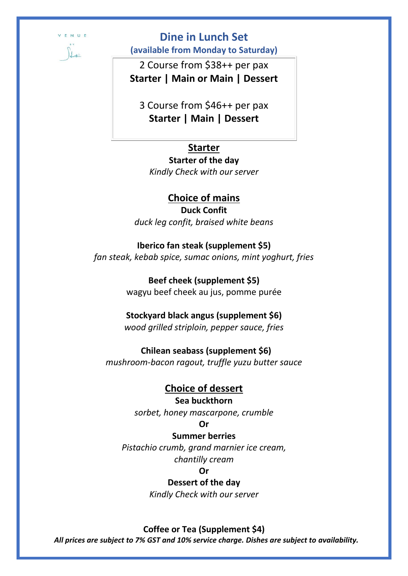

# **Dine in Lunch Set**

**(available from Monday to Saturday)**

2 Course from \$38++ per pax **Starter | Main or Main | Dessert**

3 Course from \$46++ per pax **Starter | Main | Dessert**

## **Starter**

## **Starter of the day**

*Kindly Check with our server* 

## **Choice of mains**

**Duck Confit** *duck leg confit, braised white beans* 

## **Iberico fan steak (supplement \$5)**

*fan steak, kebab spice, sumac onions, mint yoghurt, fries*

**Beef cheek (supplement \$5)** wagyu beef cheek au jus, pomme purée

### **Stockyard black angus (supplement \$6)**

*wood grilled striploin, pepper sauce, fries*

## **Chilean seabass (supplement \$6)**

*mushroom-bacon ragout, truffle yuzu butter sauce* 

# **Choice of dessert**

## **Sea buckthorn**

*sorbet, honey mascarpone, crumble*

### **Or**

### **Summer berries**

*Pistachio crumb, grand marnier ice cream, chantilly cream*

#### **Or**

### **Dessert of the day**

*Kindly Check with our server*

### **Coffee or Tea (Supplement \$4)**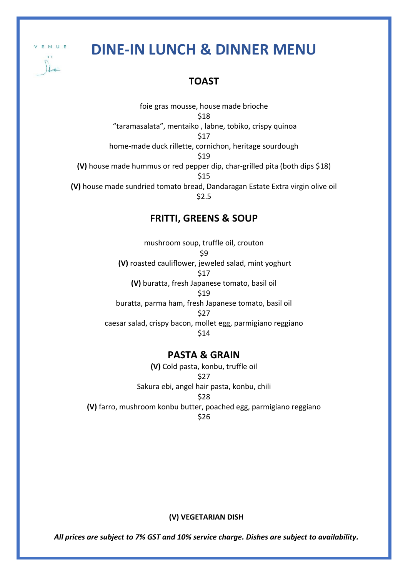ENUE

# **DINE-IN LUNCH & DINNER MENU**

# **TOAST**

foie gras mousse, house made brioche \$18 "taramasalata", mentaiko , labne, tobiko, crispy quinoa \$17 home-made duck rillette, cornichon, heritage sourdough \$19 **(V)** house made hummus or red pepper dip, char-grilled pita (both dips \$18) \$15 **(V)** house made sundried tomato bread, Dandaragan Estate Extra virgin olive oil \$2.5

## **FRITTI, GREENS & SOUP**

mushroom soup, truffle oil, crouton \$9 **(V)** roasted cauliflower, jeweled salad, mint yoghurt \$17 **(V)** buratta, fresh Japanese tomato, basil oil \$19 buratta, parma ham, fresh Japanese tomato, basil oil \$27 caesar salad, crispy bacon, mollet egg, parmigiano reggiano \$14

### **PASTA & GRAIN**

**(V)** Cold pasta, konbu, truffle oil \$27 Sakura ebi, angel hair pasta, konbu, chili \$28 **(V)** farro, mushroom konbu butter, poached egg, parmigiano reggiano \$26

#### **(V) VEGETARIAN DISH**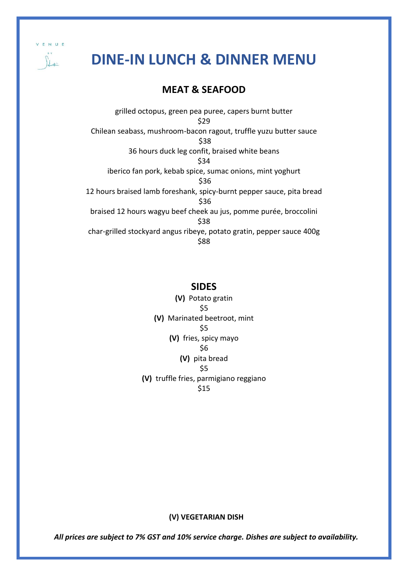

# **DINE-IN LUNCH & DINNER MENU**

# **MEAT & SEAFOOD**

grilled octopus, green pea puree, capers burnt butter \$29 Chilean seabass, mushroom-bacon ragout, truffle yuzu butter sauce \$38 36 hours duck leg confit, braised white beans \$34 iberico fan pork, kebab spice, sumac onions, mint yoghurt \$36 12 hours braised lamb foreshank, spicy-burnt pepper sauce, pita bread \$36 braised 12 hours wagyu beef cheek au jus, pomme purée, broccolini \$38 char-grilled stockyard angus ribeye, potato gratin, pepper sauce 400g \$88

### **SIDES**

**(V)** Potato gratin \$5 **(V)** Marinated beetroot, mint \$5 **(V)** fries, spicy mayo \$6 **(V)** pita bread \$5 **(V)** truffle fries, parmigiano reggiano \$15

#### **(V) VEGETARIAN DISH**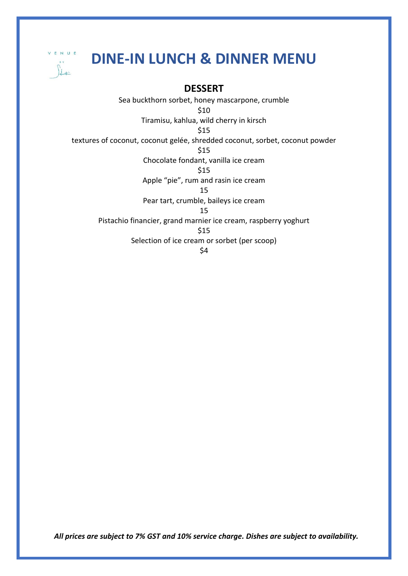

# **DINE-IN LUNCH & DINNER MENU**

# **DESSERT**

Sea buckthorn sorbet, honey mascarpone, crumble \$10 Tiramisu, kahlua, wild cherry in kirsch \$15 textures of coconut, coconut gelée, shredded coconut, sorbet, coconut powder \$15 Chocolate fondant, vanilla ice cream \$15 Apple "pie", rum and rasin ice cream 15 Pear tart, crumble, baileys ice cream 15 Pistachio financier, grand marnier ice cream, raspberry yoghurt \$15 Selection of ice cream or sorbet (per scoop) \$4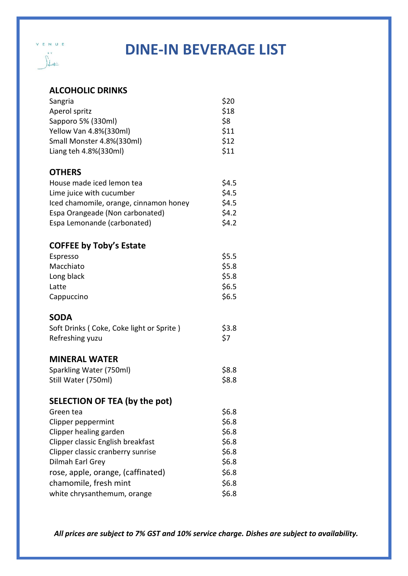

# **ALCOHOLIC DRINKS**

VENUE

 $\| \cdot \|$ 

| Sangria                                  | \$20    |
|------------------------------------------|---------|
| Aperol spritz                            | \$18    |
| Sapporo 5% (330ml)                       | \$8     |
| Yellow Van 4.8%(330ml)                   | \$11    |
| Small Monster 4.8%(330ml)                | \$12    |
| Liang teh 4.8%(330ml)                    | \$11    |
| <b>OTHERS</b>                            |         |
| House made iced lemon tea                | \$4.5   |
| Lime juice with cucumber                 | \$4.5   |
| Iced chamomile, orange, cinnamon honey   | \$4.5   |
| Espa Orangeade (Non carbonated)          | \$4.2\$ |
| Espa Lemonande (carbonated)              | \$4.2\$ |
| <b>COFFEE by Toby's Estate</b>           |         |
| Espresso                                 | \$5.5   |
| Macchiato                                | \$5.8   |
| Long black                               | \$5.8   |
| Latte                                    | \$6.5   |
| Cappuccino                               | \$6.5   |
| <b>SODA</b>                              |         |
| Soft Drinks (Coke, Coke light or Sprite) | \$3.8   |
| Refreshing yuzu                          | \$7     |
|                                          |         |
| <b>MINERAL WATER</b>                     |         |
| Sparkling Water (750ml)                  | \$8.8   |
| Still Water (750ml)                      | \$8.8   |
| <b>SELECTION OF TEA (by the pot)</b>     |         |
| Green tea                                | \$6.8   |
| Clipper peppermint                       | \$6.8\$ |
| Clipper healing garden                   | \$6.8\$ |
| Clipper classic English breakfast        | \$6.8\$ |
| Clipper classic cranberry sunrise        | \$6.8\$ |
| Dilmah Earl Grey                         | \$6.8\$ |
| rose, apple, orange, (caffinated)        | \$6.8   |
| chamomile, fresh mint                    | \$6.8\$ |
| white chrysanthemum, orange              | \$6.8\$ |